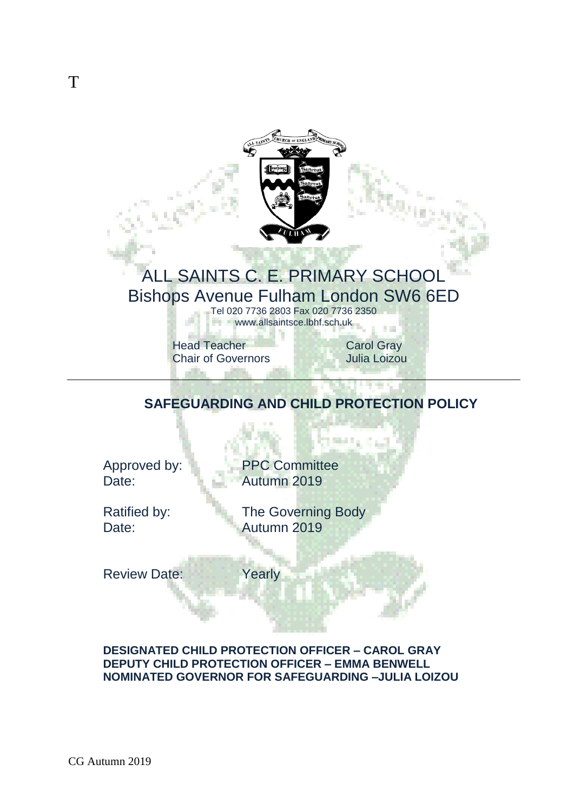

# ALL SAINTS C. E. PRIMARY SCHOOL Bishops Avenue Fulham London SW6 6ED

Tel 020 7736 2803 Fax 020 7736 2350 www.allsaintsce.lbhf.sch.uk

Head Teacher<br>
Chair of Governors<br>
Chair of Governors<br>
Carol Gray **Chair of Governors** 

والتقريب

all a

## **SAFEGUARDING AND CHILD PROTECTION POLICY**

an n

Approved by: PPC Committee Date: **Autumn 2019** 

Ratified by: The Governing Body Date: **Autumn 2019** 

Review Date: Yearly

## **DESIGNATED CHILD PROTECTION OFFICER – CAROL GRAY DEPUTY CHILD PROTECTION OFFICER – EMMA BENWELL NOMINATED GOVERNOR FOR SAFEGUARDING –JULIA LOIZOU**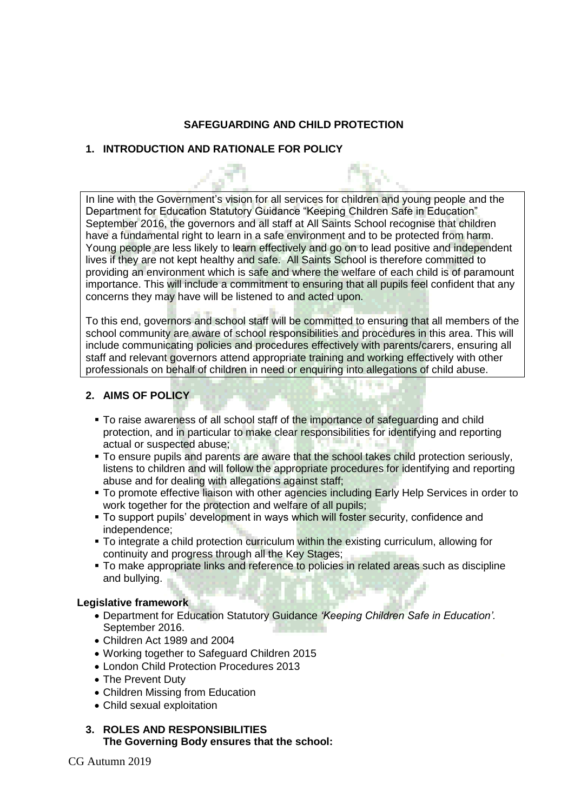## **SAFEGUARDING AND CHILD PROTECTION**

## **1. INTRODUCTION AND RATIONALE FOR POLICY**

In line with the Government's vision for all services for children and young people and the Department for Education Statutory Guidance "Keeping Children Safe in Education" September 2016, the governors and all staff at All Saints School recognise that children have a fundamental right to learn in a safe environment and to be protected from harm. Young people are less likely to learn effectively and go on to lead positive and independent lives if they are not kept healthy and safe. All Saints School is therefore committed to providing an environment which is safe and where the welfare of each child is of paramount importance. This will include a commitment to ensuring that all pupils feel confident that any concerns they may have will be listened to and acted upon.

To this end, governors and school staff will be committed to ensuring that all members of the school community are aware of school responsibilities and procedures in this area. This will include communicating policies and procedures effectively with parents/carers, ensuring all staff and relevant governors attend appropriate training and working effectively with other professionals on behalf of children in need or enquiring into allegations of child abuse.

Matteria

## **2. AIMS OF POLICY**

- To raise awareness of all school staff of the importance of safeguarding and child protection, and in particular to make clear responsibilities for identifying and reporting actual or suspected abuse;
- To ensure pupils and parents are aware that the school takes child protection seriously, listens to children and will follow the appropriate procedures for identifying and reporting abuse and for dealing with allegations against staff;
- **To promote effective liaison with other agencies including Early Help Services in order to** work together for the protection and welfare of all pupils;
- To support pupils' development in ways which will foster security, confidence and independence;
- To integrate a child protection curriculum within the existing curriculum, allowing for continuity and progress through all the Key Stages;
- To make appropriate links and reference to policies in related areas such as discipline and bullying.

## **Legislative framework**

- Department for Education Statutory Guidance *'Keeping Children Safe in Education'.* September 2016.
- Children Act 1989 and 2004
- Working together to Safeguard Children 2015
- London Child Protection Procedures 2013
- The Prevent Duty
- Children Missing from Education
- Child sexual exploitation

## **3. ROLES AND RESPONSIBILITIES The Governing Body ensures that the school:**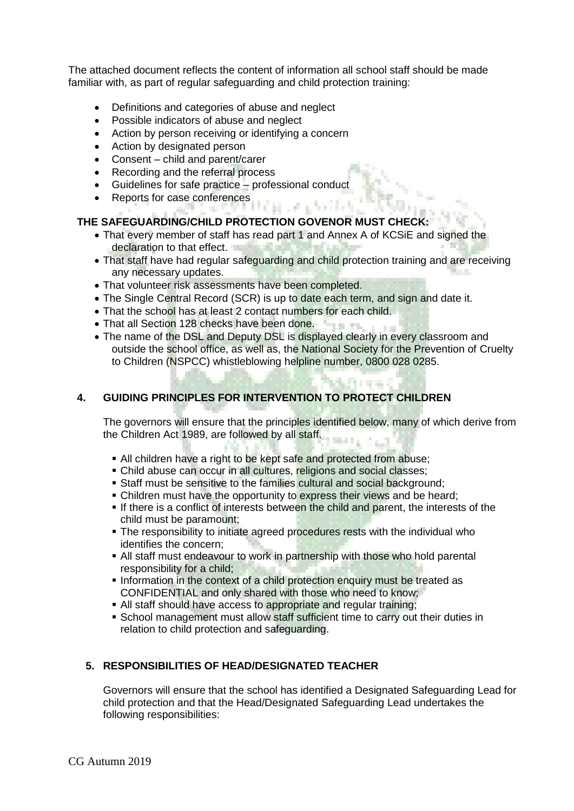The attached document reflects the content of information all school staff should be made familiar with, as part of regular safeguarding and child protection training:

- Definitions and categories of abuse and neglect
- Possible indicators of abuse and neglect
- Action by person receiving or identifying a concern
- Action by designated person
- Consent child and parent/carer
- Recording and the referral process
- Guidelines for safe practice professional conduct
- Reports for case conferences

## **THE SAFEGUARDING/CHILD PROTECTION GOVENOR MUST CHECK:**

- That every member of staff has read part 1 and Annex A of KCSiE and signed the declaration to that effect.
- That staff have had regular safeguarding and child protection training and are receiving any necessary updates.

an an a total ch

- That volunteer risk assessments have been completed.
- The Single Central Record (SCR) is up to date each term, and sign and date it.
- That the school has at least 2 contact numbers for each child.
- That all Section 128 checks have been done.
- The name of the DSL and Deputy DSL is displayed clearly in every classroom and outside the school office, as well as, the National Society for the Prevention of Cruelty to Children (NSPCC) whistleblowing helpline number, 0800 028 0285.

## **4. GUIDING PRINCIPLES FOR INTERVENTION TO PROTECT CHILDREN**

The governors will ensure that the principles identified below, many of which derive from the Children Act 1989, are followed by all staff.

- All children have a right to be kept safe and protected from abuse:
- Child abuse can occur in all cultures, religions and social classes;
- Staff must be sensitive to the families cultural and social background;
- Children must have the opportunity to express their views and be heard;
- If there is a conflict of interests between the child and parent, the interests of the child must be paramount;
- The responsibility to initiate agreed procedures rests with the individual who identifies the concern;
- All staff must endeavour to work in partnership with those who hold parental responsibility for a child;
- Information in the context of a child protection enquiry must be treated as CONFIDENTIAL and only shared with those who need to know;
- All staff should have access to appropriate and regular training;
- School management must allow staff sufficient time to carry out their duties in relation to child protection and safeguarding.

## **5. RESPONSIBILITIES OF HEAD/DESIGNATED TEACHER**

Governors will ensure that the school has identified a Designated Safeguarding Lead for child protection and that the Head/Designated Safeguarding Lead undertakes the following responsibilities: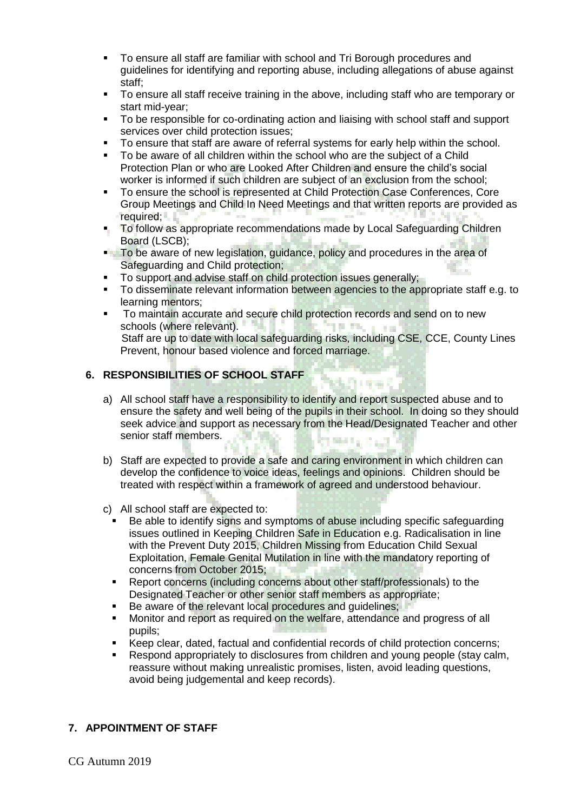- To ensure all staff are familiar with school and Tri Borough procedures and guidelines for identifying and reporting abuse, including allegations of abuse against staff;
- To ensure all staff receive training in the above, including staff who are temporary or start mid-year;
- To be responsible for co-ordinating action and liaising with school staff and support services over child protection issues;
- To ensure that staff are aware of referral systems for early help within the school.
- To be aware of all children within the school who are the subject of a Child Protection Plan or who are Looked After Children and ensure the child's social worker is informed if such children are subject of an exclusion from the school;
- To ensure the school is represented at Child Protection Case Conferences, Core Group Meetings and Child In Need Meetings and that written reports are provided as required;
- To follow as appropriate recommendations made by Local Safeguarding Children Board (LSCB);
- To be aware of new legislation, guidance, policy and procedures in the area of Safeguarding and Child protection;
- To support and advise staff on child protection issues generally;
- To disseminate relevant information between agencies to the appropriate staff e.g. to learning mentors;
- To maintain accurate and secure child protection records and send on to new schools (where relevant). 10 Thur a se Staff are up to date with local safeguarding risks, including CSE, CCE, County Lines Prevent, honour based violence and forced marriage.

## **6. RESPONSIBILITIES OF SCHOOL STAFF**

a) All school staff have a responsibility to identify and report suspected abuse and to ensure the safety and well being of the pupils in their school. In doing so they should seek advice and support as necessary from the Head/Designated Teacher and other senior staff members. 89 S.H. L. B. L.

det et e

b) Staff are expected to provide a safe and caring environment in which children can develop the confidence to voice ideas, feelings and opinions. Children should be treated with respect within a framework of agreed and understood behaviour.

c) All school staff are expected to:

- Be able to identify signs and symptoms of abuse including specific safeguarding issues outlined in Keeping Children Safe in Education e.g. Radicalisation in line with the Prevent Duty 2015, Children Missing from Education Child Sexual Exploitation, Female Genital Mutilation in line with the mandatory reporting of concerns from October 2015;
- Report concerns (including concerns about other staff/professionals) to the Designated Teacher or other senior staff members as appropriate;
- Be aware of the relevant local procedures and guidelines;
- Monitor and report as required on the welfare, attendance and progress of all pupils;
- Keep clear, dated, factual and confidential records of child protection concerns;
- Respond appropriately to disclosures from children and young people (stay calm, reassure without making unrealistic promises, listen, avoid leading questions, avoid being judgemental and keep records).

## **7. APPOINTMENT OF STAFF**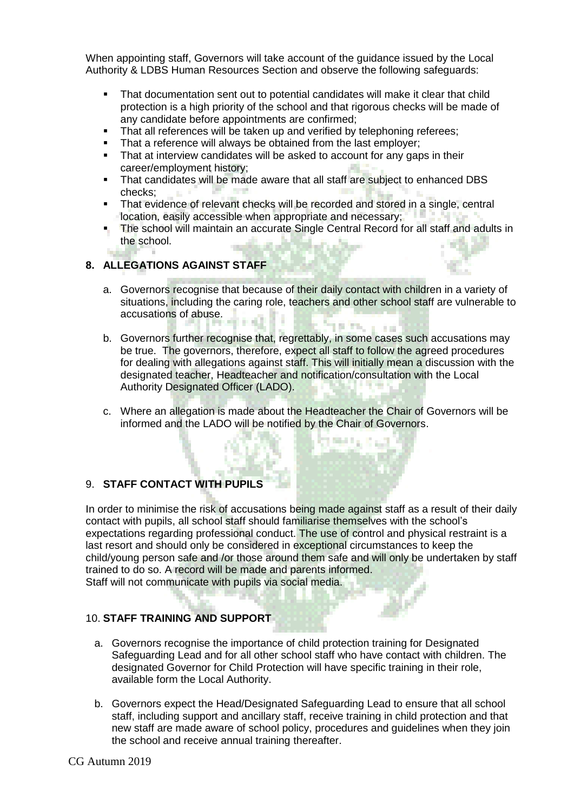When appointing staff, Governors will take account of the guidance issued by the Local Authority & LDBS Human Resources Section and observe the following safeguards:

- That documentation sent out to potential candidates will make it clear that child protection is a high priority of the school and that rigorous checks will be made of any candidate before appointments are confirmed;
- That all references will be taken up and verified by telephoning referees;
- That a reference will always be obtained from the last employer;
- That at interview candidates will be asked to account for any gaps in their career/employment history;
- That candidates will be made aware that all staff are subject to enhanced DBS checks; **11 July 11**
- That evidence of relevant checks will be recorded and stored in a single, central location, easily accessible when appropriate and necessary;
- The school will maintain an accurate Single Central Record for all staff and adults in the school. W. 194

## **8. ALLEGATIONS AGAINST STAFF**

a. Governors recognise that because of their daily contact with children in a variety of situations, including the caring role, teachers and other school staff are vulnerable to accusations of abuse.

**STATISTICS** 

- b. Governors further recognise that, regrettably, in some cases such accusations may be true. The governors, therefore, expect all staff to follow the agreed procedures for dealing with allegations against staff. This will initially mean a discussion with the designated teacher, Headteacher and notification/consultation with the Local Authority Designated Officer (LADO).
- c. Where an allegation is made about the Headteacher the Chair of Governors will be informed and the LADO will be notified by the Chair of Governors.

## 9. **STAFF CONTACT WITH PUPILS**

In order to minimise the risk of accusations being made against staff as a result of their daily contact with pupils, all school staff should familiarise themselves with the school's expectations regarding professional conduct. The use of control and physical restraint is a last resort and should only be considered in exceptional circumstances to keep the child/young person safe and /or those around them safe and will only be undertaken by staff trained to do so. A record will be made and parents informed. Staff will not communicate with pupils via social media.

## 10. **STAFF TRAINING AND SUPPORT**

- a. Governors recognise the importance of child protection training for Designated Safeguarding Lead and for all other school staff who have contact with children. The designated Governor for Child Protection will have specific training in their role, available form the Local Authority.
- b. Governors expect the Head/Designated Safeguarding Lead to ensure that all school staff, including support and ancillary staff, receive training in child protection and that new staff are made aware of school policy, procedures and guidelines when they join the school and receive annual training thereafter.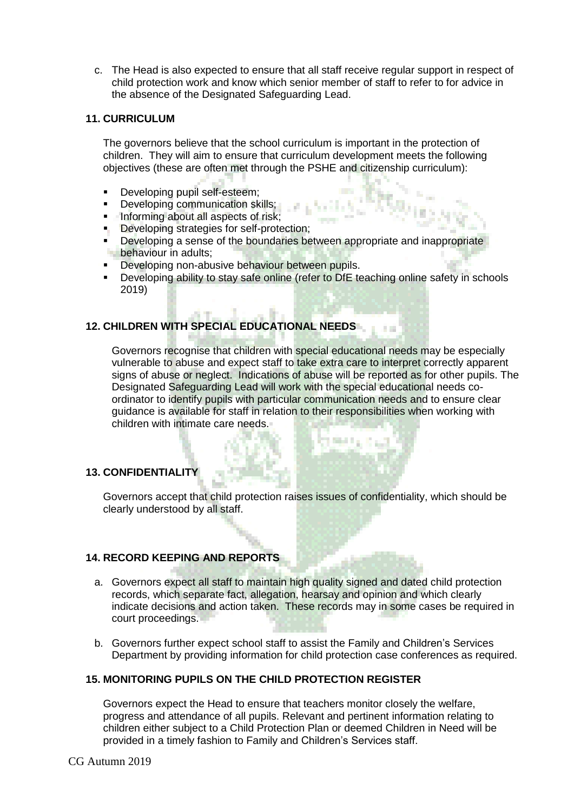c. The Head is also expected to ensure that all staff receive regular support in respect of child protection work and know which senior member of staff to refer to for advice in the absence of the Designated Safeguarding Lead.

#### **11. CURRICULUM**

The governors believe that the school curriculum is important in the protection of children. They will aim to ensure that curriculum development meets the following objectives (these are often met through the PSHE and citizenship curriculum):

- Developing pupil self-esteem;
- **Developing communication skills;**
- **Informing about all aspects of risk;**
- **Developing strategies for self-protection;**
- Developing a sense of the boundaries between appropriate and inappropriate behaviour in adults;
- Developing non-abusive behaviour between pupils.
- Developing ability to stay safe online (refer to DfE teaching online safety in schools 2019)

## **12. CHILDREN WITH SPECIAL EDUCATIONAL NEEDS**

Governors recognise that children with special educational needs may be especially vulnerable to abuse and expect staff to take extra care to interpret correctly apparent signs of abuse or neglect. Indications of abuse will be reported as for other pupils. The Designated Safeguarding Lead will work with the special educational needs coordinator to identify pupils with particular communication needs and to ensure clear guidance is available for staff in relation to their responsibilities when working with children with intimate care needs.

## **13. CONFIDENTIALITY**

Governors accept that child protection raises issues of confidentiality, which should be clearly understood by all staff.

## **14. RECORD KEEPING AND REPORTS**

- a. Governors expect all staff to maintain high quality signed and dated child protection records, which separate fact, allegation, hearsay and opinion and which clearly indicate decisions and action taken. These records may in some cases be required in court proceedings.
- b. Governors further expect school staff to assist the Family and Children's Services Department by providing information for child protection case conferences as required.

## **15. MONITORING PUPILS ON THE CHILD PROTECTION REGISTER**

Governors expect the Head to ensure that teachers monitor closely the welfare, progress and attendance of all pupils. Relevant and pertinent information relating to children either subject to a Child Protection Plan or deemed Children in Need will be provided in a timely fashion to Family and Children's Services staff.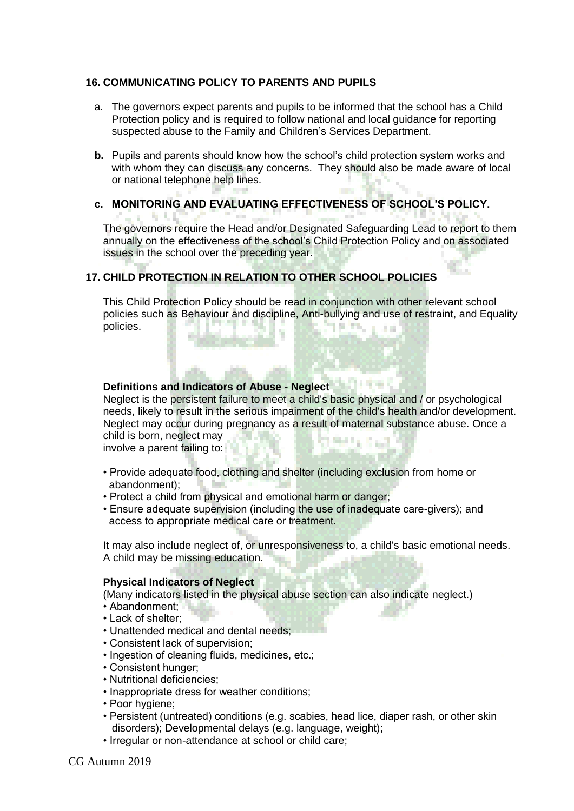### **16. COMMUNICATING POLICY TO PARENTS AND PUPILS**

- a. The governors expect parents and pupils to be informed that the school has a Child Protection policy and is required to follow national and local guidance for reporting suspected abuse to the Family and Children's Services Department.
- **b.** Pupils and parents should know how the school's child protection system works and with whom they can discuss any concerns. They should also be made aware of local or national telephone help lines.

#### **c. MONITORING AND EVALUATING EFFECTIVENESS OF SCHOOL'S POLICY.** 地名美 The governors require the Head and/or Designated Safeguarding Lead to report to them annually on the effectiveness of the school's Child Protection Policy and on associated

## **17. CHILD PROTECTION IN RELATION TO OTHER SCHOOL POLICIES**

This Child Protection Policy should be read in conjunction with other relevant school policies such as Behaviour and discipline, Anti-bullying and use of restraint, and Equality policies. **SILLER** a se

## **Definitions and Indicators of Abuse - Neglect**

issues in the school over the preceding year.

Neglect is the persistent failure to meet a child's basic physical and / or psychological needs, likely to result in the serious impairment of the child's health and/or development. Neglect may occur during pregnancy as a result of maternal substance abuse. Once a child is born, neglect may **PORTAGE AND** 

involve a parent failing to:

- Provide adequate food, clothing and shelter (including exclusion from home or abandonment);
- Protect a child from physical and emotional harm or danger;
- Ensure adequate supervision (including the use of inadequate care-givers); and access to appropriate medical care or treatment.

It may also include neglect of, or unresponsiveness to, a child's basic emotional needs. A child may be missing education.

#### **Physical Indicators of Neglect**

(Many indicators listed in the physical abuse section can also indicate neglect.)

- Abandonment:
- Lack of shelter;
- Unattended medical and dental needs;
- Consistent lack of supervision;
- Ingestion of cleaning fluids, medicines, etc.;
- Consistent hunger;
- Nutritional deficiencies;
- Inappropriate dress for weather conditions;
- Poor hygiene;
- Persistent (untreated) conditions (e.g. scabies, head lice, diaper rash, or other skin disorders); Developmental delays (e.g. language, weight);
- Irregular or non-attendance at school or child care;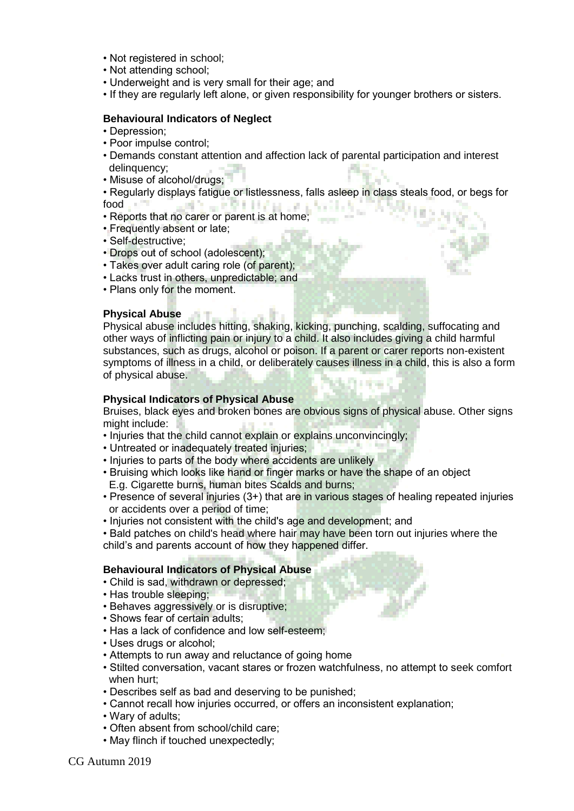- Not registered in school;
- Not attending school;
- Underweight and is very small for their age; and
- If they are regularly left alone, or given responsibility for younger brothers or sisters.

#### **Behavioural Indicators of Neglect**

- Depression;
- Poor impulse control;
- Demands constant attention and affection lack of parental participation and interest delinquency:
- Misuse of alcohol/drugs;

• Regularly displays fatigue or listlessness, falls asleep in class steals food, or begs for ALC: UNITED AT A CALL food ia a S

- Reports that no carer or parent is at home;
- Frequently absent or late;
- Self-destructive;
- Drops out of school (adolescent);
- Takes over adult caring role (of parent);
- Lacks trust in others, unpredictable; and
- Plans only for the moment.

#### **Physical Abuse**

Physical abuse includes hitting, shaking, kicking, punching, scalding, suffocating and other ways of inflicting pain or injury to a child. It also includes giving a child harmful substances, such as drugs, alcohol or poison. If a parent or carer reports non-existent symptoms of illness in a child, or deliberately causes illness in a child, this is also a form of physical abuse.

#### **Physical Indicators of Physical Abuse**

Bruises, black eyes and broken bones are obvious signs of physical abuse. Other signs might include:

- Injuries that the child cannot explain or explains unconvincingly;
- Untreated or inadequately treated injuries;
- Injuries to parts of the body where accidents are unlikely
- Bruising which looks like hand or finger marks or have the shape of an object E.g. Cigarette burns, human bites Scalds and burns;
- Presence of several injuries (3+) that are in various stages of healing repeated injuries or accidents over a period of time;
- Injuries not consistent with the child's age and development; and

• Bald patches on child's head where hair may have been torn out injuries where the child's and parents account of how they happened differ.

#### **Behavioural Indicators of Physical Abuse**

- Child is sad, withdrawn or depressed;
- Has trouble sleeping;
- Behaves aggressively or is disruptive;
- Shows fear of certain adults:
- Has a lack of confidence and low self-esteem;
- Uses drugs or alcohol;
- Attempts to run away and reluctance of going home
- Stilted conversation, vacant stares or frozen watchfulness, no attempt to seek comfort when hurt;
- Describes self as bad and deserving to be punished;
- Cannot recall how injuries occurred, or offers an inconsistent explanation;
- Wary of adults;
- Often absent from school/child care;
- May flinch if touched unexpectedly;

CG Autumn 2019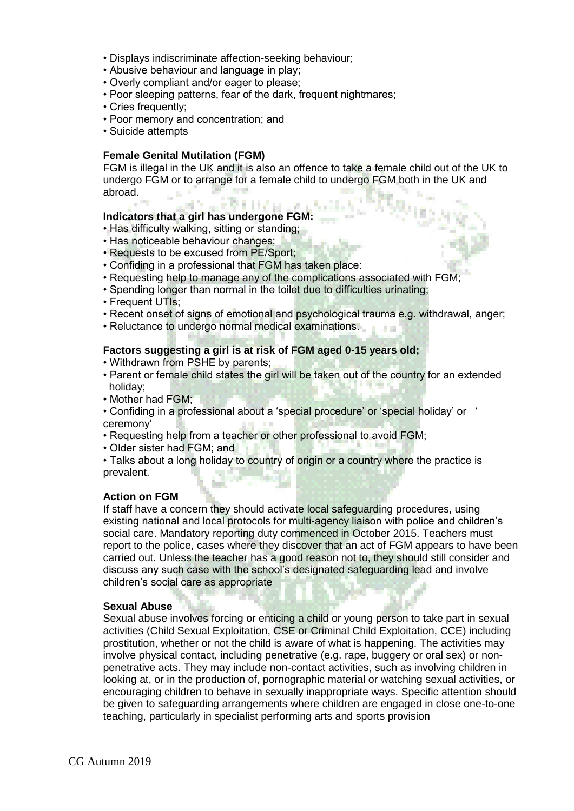- Displays indiscriminate affection-seeking behaviour;
- Abusive behaviour and language in play;
- Overly compliant and/or eager to please;
- Poor sleeping patterns, fear of the dark, frequent nightmares;
- Cries frequently;
- Poor memory and concentration; and
- Suicide attempts

#### **Female Genital Mutilation (FGM)**

FGM is illegal in the UK and it is also an offence to take a female child out of the UK to undergo FGM or to arrange for a female child to undergo FGM both in the UK and abroad.

## **Indicators that a girl has undergone FGM:**

- Has difficulty walking, sitting or standing;
- Has noticeable behaviour changes;
- Requests to be excused from PE/Sport;
- Confiding in a professional that FGM has taken place:

JERHEN.

- Requesting help to manage any of the complications associated with FGM;
- Spending longer than normal in the toilet due to difficulties urinating;
- Frequent UTIs:
- Recent onset of signs of emotional and psychological trauma e.g. withdrawal, anger;
- Reluctance to undergo normal medical examinations.

#### **Factors suggesting a girl is at risk of FGM aged 0-15 years old;**

- Withdrawn from PSHE by parents;
- Parent or female child states the girl will be taken out of the country for an extended holiday;
- Mother had FGM;
- Confiding in a professional about a 'special procedure' or 'special holiday' or ' ceremony'
- Requesting help from a teacher or other professional to avoid FGM;
- Older sister had FGM; and
- Talks about a long holiday to country of origin or a country where the practice is prevalent.

## **Action on FGM**

If staff have a concern they should activate local safeguarding procedures, using existing national and local protocols for multi-agency liaison with police and children's social care. Mandatory reporting duty commenced in October 2015. Teachers must report to the police, cases where they discover that an act of FGM appears to have been carried out. Unless the teacher has a good reason not to, they should still consider and discuss any such case with the school's designated safeguarding lead and involve children's social care as appropriate

#### **Sexual Abuse**

Sexual abuse involves forcing or enticing a child or young person to take part in sexual activities (Child Sexual Exploitation, CSE or Criminal Child Exploitation, CCE) including prostitution, whether or not the child is aware of what is happening. The activities may involve physical contact, including penetrative (e.g. rape, buggery or oral sex) or nonpenetrative acts. They may include non-contact activities, such as involving children in looking at, or in the production of, pornographic material or watching sexual activities, or encouraging children to behave in sexually inappropriate ways. Specific attention should be given to safeguarding arrangements where children are engaged in close one-to-one teaching, particularly in specialist performing arts and sports provision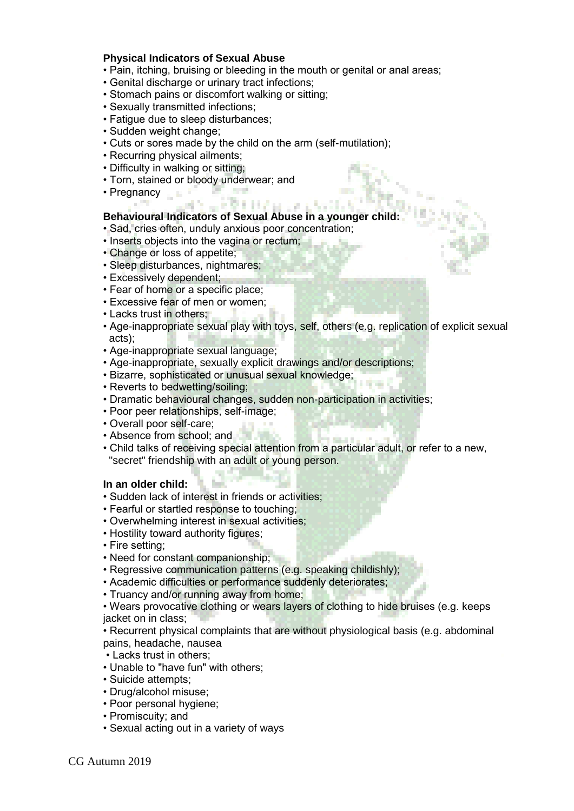#### **Physical Indicators of Sexual Abuse**

- Pain, itching, bruising or bleeding in the mouth or genital or anal areas;
- Genital discharge or urinary tract infections;
- Stomach pains or discomfort walking or sitting;
- Sexually transmitted infections;
- Fatigue due to sleep disturbances;
- Sudden weight change;
- Cuts or sores made by the child on the arm (self-mutilation);
- Recurring physical ailments;
- Difficulty in walking or sitting;
- Torn, stained or bloody underwear; and
- Pregnancy

## **Behavioural Indicators of Sexual Abuse in a younger child:**

- Sad, cries often, unduly anxious poor concentration;
- Inserts objects into the vagina or rectum;
- Change or loss of appetite;
- Sleep disturbances, nightmares;
- Excessively dependent;
- Fear of home or a specific place;
- Excessive fear of men or women;
- Lacks trust in others:
- Age-inappropriate sexual play with toys, self, others (e.g. replication of explicit sexual acts);
- Age-inappropriate sexual language;
- Age-inappropriate, sexually explicit drawings and/or descriptions;
- Bizarre, sophisticated or unusual sexual knowledge;
- Reverts to bedwetting/soiling;
- Dramatic behavioural changes, sudden non-participation in activities;
- Poor peer relationships, self-image;
- Overall poor self-care;
- Absence from school: and
- Child talks of receiving special attention from a particular adult, or refer to a new, "secret" friendship with an adult or young person.

#### **In an older child:**

- Sudden lack of interest in friends or activities;
- Fearful or startled response to touching;
- Overwhelming interest in sexual activities;
- Hostility toward authority figures;
- Fire setting;
- Need for constant companionship;
- Regressive communication patterns (e.g. speaking childishly);
- Academic difficulties or performance suddenly deteriorates;
- Truancy and/or running away from home;

• Wears provocative clothing or wears layers of clothing to hide bruises (e.g. keeps jacket on in class;

• Recurrent physical complaints that are without physiological basis (e.g. abdominal pains, headache, nausea

- Lacks trust in others;
- Unable to "have fun" with others;
- Suicide attempts;
- Drug/alcohol misuse;
- Poor personal hygiene;
- Promiscuity; and
- Sexual acting out in a variety of ways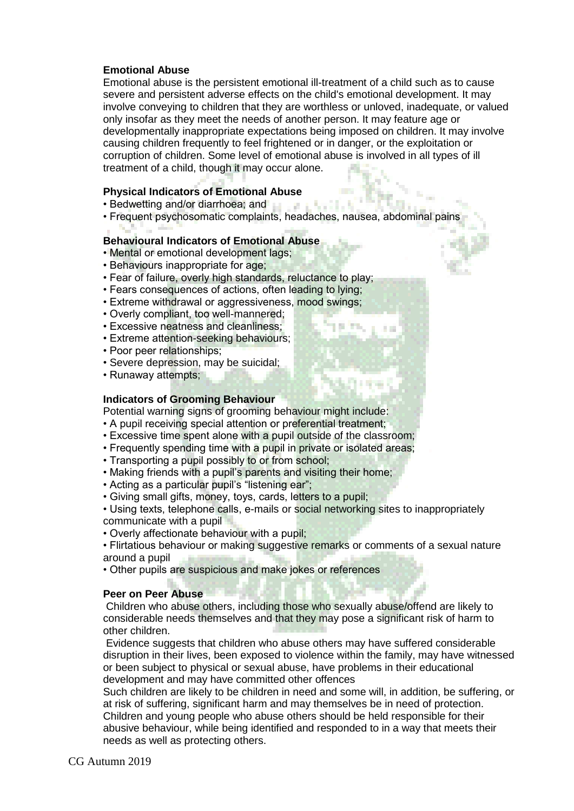## **Emotional Abuse**

Emotional abuse is the persistent emotional ill-treatment of a child such as to cause severe and persistent adverse effects on the child's emotional development. It may involve conveying to children that they are worthless or unloved, inadequate, or valued only insofar as they meet the needs of another person. It may feature age or developmentally inappropriate expectations being imposed on children. It may involve causing children frequently to feel frightened or in danger, or the exploitation or corruption of children. Some level of emotional abuse is involved in all types of ill treatment of a child, though it may occur alone.

#### **Physical Indicators of Emotional Abuse**

- Bedwetting and/or diarrhoea; and
- Frequent psychosomatic complaints, headaches, nausea, abdominal pains

#### **Behavioural Indicators of Emotional Abuse**

- Mental or emotional development lags;
- Behaviours inappropriate for age;
- Fear of failure, overly high standards, reluctance to play;
- Fears consequences of actions, often leading to lying;
- Extreme withdrawal or aggressiveness, mood swings;
- Overly compliant, too well-mannered;
- Excessive neatness and cleanliness;
- Extreme attention-seeking behaviours;
- Poor peer relationships;
- Severe depression, may be suicidal;
- Runaway attempts:

#### **Indicators of Grooming Behaviour**

Potential warning signs of grooming behaviour might include:

- A pupil receiving special attention or preferential treatment;
- Excessive time spent alone with a pupil outside of the classroom;
- Frequently spending time with a pupil in private or isolated areas;
- Transporting a pupil possibly to or from school;
- Making friends with a pupil's parents and visiting their home;
- Acting as a particular pupil's "listening ear";
- Giving small gifts, money, toys, cards, letters to a pupil;
- Using texts, telephone calls, e-mails or social networking sites to inappropriately communicate with a pupil
- Overly affectionate behaviour with a pupil;
- Flirtatious behaviour or making suggestive remarks or comments of a sexual nature around a pupil
- Other pupils are suspicious and make jokes or references

#### **Peer on Peer Abuse**

Children who abuse others, including those who sexually abuse/offend are likely to considerable needs themselves and that they may pose a significant risk of harm to other children.

Evidence suggests that children who abuse others may have suffered considerable disruption in their lives, been exposed to violence within the family, may have witnessed or been subject to physical or sexual abuse, have problems in their educational development and may have committed other offences

Such children are likely to be children in need and some will, in addition, be suffering, or at risk of suffering, significant harm and may themselves be in need of protection. Children and young people who abuse others should be held responsible for their abusive behaviour, while being identified and responded to in a way that meets their needs as well as protecting others.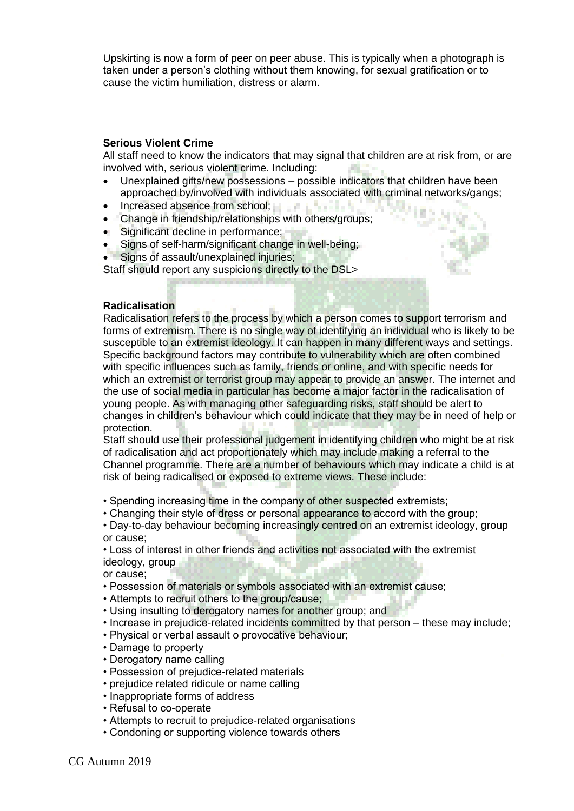Upskirting is now a form of peer on peer abuse. This is typically when a photograph is taken under a person's clothing without them knowing, for sexual gratification or to cause the victim humiliation, distress or alarm.

## **Serious Violent Crime**

All staff need to know the indicators that may signal that children are at risk from, or are involved with, serious violent crime. Including:

- Unexplained gifts/new possessions possible indicators that children have been approached by/involved with individuals associated with criminal networks/gangs;
- Increased absence from school;
- Change in friendship/relationships with others/groups;
- Significant decline in performance;
- Signs of self-harm/significant change in well-being;
- Signs of assault/unexplained injuries;

Staff should report any suspicions directly to the DSL>



Radicalisation refers to the process by which a person comes to support terrorism and forms of extremism. There is no single way of identifying an individual who is likely to be susceptible to an extremist ideology. It can happen in many different ways and settings. Specific background factors may contribute to vulnerability which are often combined with specific influences such as family, friends or online, and with specific needs for which an extremist or terrorist group may appear to provide an answer. The internet and the use of social media in particular has become a major factor in the radicalisation of young people. As with managing other safeguarding risks, staff should be alert to changes in children's behaviour which could indicate that they may be in need of help or protection.

Staff should use their professional judgement in identifying children who might be at risk of radicalisation and act proportionately which may include making a referral to the Channel programme. There are a number of behaviours which may indicate a child is at risk of being radicalised or exposed to extreme views. These include:

• Spending increasing time in the company of other suspected extremists;

• Changing their style of dress or personal appearance to accord with the group;

• Day-to-day behaviour becoming increasingly centred on an extremist ideology, group or cause;

• Loss of interest in other friends and activities not associated with the extremist ideology, group

or cause;

- Possession of materials or symbols associated with an extremist cause;
- Attempts to recruit others to the group/cause;
- Using insulting to derogatory names for another group; and
- Increase in prejudice-related incidents committed by that person these may include;
- Physical or verbal assault o provocative behaviour;
- Damage to property
- Derogatory name calling
- Possession of prejudice-related materials
- prejudice related ridicule or name calling
- Inappropriate forms of address
- Refusal to co-operate
- Attempts to recruit to prejudice-related organisations
- Condoning or supporting violence towards others